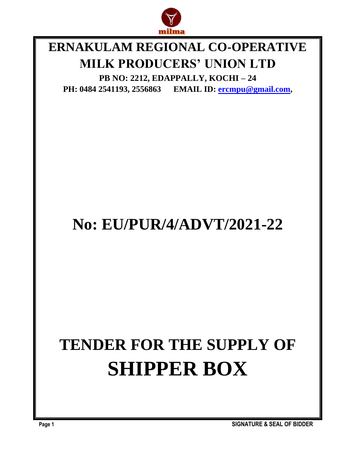

### **ERNAKULAM REGIONAL CO-OPERATIVE MILK PRODUCERS' UNION LTD**

**PB NO: 2212, EDAPPALLY, KOCHI – 24 PH: 0484 2541193, 2556863 EMAIL ID: [ercmpu@gmail.com](mailto:ercmpu@gmail.com),**

## **No: EU/PUR/4/ADVT/2021-22**

# **TENDER FOR THE SUPPLY OF SHIPPER BOX**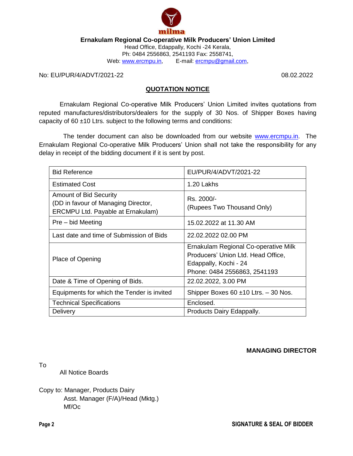

**Ernakulam Regional Co-operative Milk Producers' Union Limited**

Head Office, Edappally, Kochi -24 Kerala, Ph: 0484 2556863, 2541193 Fax: 2558741, Web: [www.ercmpu.in,](http://www.ercmpu.in/) E-mail: [ercmpu@gmail.com,](mailto:ercmpu@gmail.com)

No: EU/PUR/4/ADVT/2021-22 08.02.2022

#### **QUOTATION NOTICE**

Ernakulam Regional Co-operative Milk Producers' Union Limited invites quotations from reputed manufactures/distributors/dealers for the supply of 30 Nos. of Shipper Boxes having capacity of  $60 \pm 10$  Ltrs. subject to the following terms and conditions:

 The tender document can also be downloaded from our website [www.ercmpu.in.](http://www.ercmpu.in/) The Ernakulam Regional Co-operative Milk Producers' Union shall not take the responsibility for any delay in receipt of the bidding document if it is sent by post.

| <b>Bid Reference</b>                                                                                      | EU/PUR/4/ADVT/2021-22                                                                                                               |  |  |
|-----------------------------------------------------------------------------------------------------------|-------------------------------------------------------------------------------------------------------------------------------------|--|--|
| <b>Estimated Cost</b>                                                                                     | 1.20 Lakhs                                                                                                                          |  |  |
| <b>Amount of Bid Security</b><br>(DD in favour of Managing Director,<br>ERCMPU Ltd. Payable at Ernakulam) | Rs. 2000/-<br>(Rupees Two Thousand Only)                                                                                            |  |  |
| Pre – bid Meeting                                                                                         | 15.02.2022 at 11.30 AM                                                                                                              |  |  |
| Last date and time of Submission of Bids                                                                  | 22.02.2022 02.00 PM                                                                                                                 |  |  |
| Place of Opening                                                                                          | Ernakulam Regional Co-operative Milk<br>Producers' Union Ltd. Head Office,<br>Edappally, Kochi - 24<br>Phone: 0484 2556863, 2541193 |  |  |
| Date & Time of Opening of Bids.                                                                           | 22.02.2022, 3.00 PM                                                                                                                 |  |  |
| Equipments for which the Tender is invited                                                                | Shipper Boxes $60 \pm 10$ Ltrs. $-30$ Nos.                                                                                          |  |  |
| <b>Technical Specifications</b>                                                                           | Enclosed.                                                                                                                           |  |  |
| <b>Delivery</b>                                                                                           | Products Dairy Edappally.                                                                                                           |  |  |

**MANAGING DIRECTOR**

To

All Notice Boards

Copy to: Manager, Products Dairy Asst. Manager (F/A)/Head (Mktg.) Mf/Oc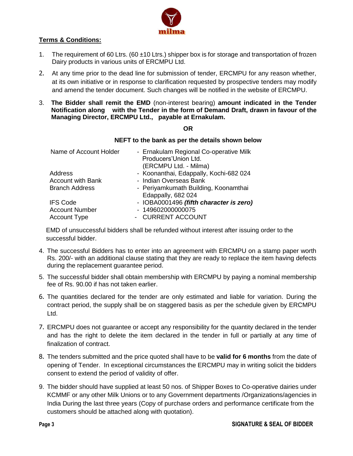

#### **Terms & Conditions:**

- 1. The requirement of 60 Ltrs. (60  $\pm$ 10 Ltrs.) shipper box is for storage and transportation of frozen Dairy products in various units of ERCMPU Ltd.
- 2. At any time prior to the dead line for submission of tender, ERCMPU for any reason whether, at its own initiative or in response to clarification requested by prospective tenders may modify and amend the tender document. Such changes will be notified in the website of ERCMPU.
- 3. **The Bidder shall remit the EMD** (non-interest bearing) **amount indicated in the Tender Notification along with the Tender in the form of Demand Draft, drawn in favour of the Managing Director, ERCMPU Ltd., payable at Ernakulam.**

#### **OR**

#### **NEFT to the bank as per the details shown below**

| Name of Account Holder   | - Ernakulam Regional Co-operative Milk<br>Producers'Union Ltd. |
|--------------------------|----------------------------------------------------------------|
|                          | (ERCMPU Ltd. - Milma)                                          |
| Address                  | - Koonanthai, Edappally, Kochi-682 024                         |
| <b>Account with Bank</b> | - Indian Overseas Bank                                         |
| <b>Branch Address</b>    | - Periyamkumath Building, Koonamthai                           |
|                          | Edappally, 682 024                                             |
| <b>IFS Code</b>          | - IOBA0001496 (fifth character is zero)                        |
| <b>Account Number</b>    | - 149602000000075                                              |
| <b>Account Type</b>      | - CURRENT ACCOUNT                                              |
|                          |                                                                |

 EMD of unsuccessful bidders shall be refunded without interest after issuing order to the successful bidder.

- 4. The successful Bidders has to enter into an agreement with ERCMPU on a stamp paper worth Rs. 200/- with an additional clause stating that they are ready to replace the item having defects during the replacement guarantee period.
- 5. The successful bidder shall obtain membership with ERCMPU by paying a nominal membership fee of Rs. 90.00 if has not taken earlier.
- 6. The quantities declared for the tender are only estimated and liable for variation. During the contract period, the supply shall be on staggered basis as per the schedule given by ERCMPU Ltd.
- 7. ERCMPU does not guarantee or accept any responsibility for the quantity declared in the tender and has the right to delete the item declared in the tender in full or partially at any time of finalization of contract.
- 8. The tenders submitted and the price quoted shall have to be **valid for 6 months** from the date of opening of Tender. In exceptional circumstances the ERCMPU may in writing solicit the bidders consent to extend the period of validity of offer.
- 9. The bidder should have supplied at least 50 nos. of Shipper Boxes to Co-operative dairies under KCMMF or any other Milk Unions or to any Government departments /Organizations/agencies in India During the last three years (Copy of purchase orders and performance certificate from the customers should be attached along with quotation).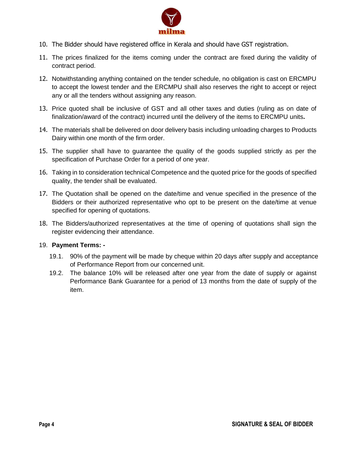

- 10. The Bidder should have registered office in Kerala and should have GST registration.
- 11. The prices finalized for the items coming under the contract are fixed during the validity of contract period.
- 12. Notwithstanding anything contained on the tender schedule, no obligation is cast on ERCMPU to accept the lowest tender and the ERCMPU shall also reserves the right to accept or reject any or all the tenders without assigning any reason.
- 13. Price quoted shall be inclusive of GST and all other taxes and duties (ruling as on date of finalization/award of the contract) incurred until the delivery of the items to ERCMPU units**.**
- 14. The materials shall be delivered on door delivery basis including unloading charges to Products Dairy within one month of the firm order.
- 15. The supplier shall have to guarantee the quality of the goods supplied strictly as per the specification of Purchase Order for a period of one year.
- 16. Taking in to consideration technical Competence and the quoted price for the goods of specified quality, the tender shall be evaluated.
- 17. The Quotation shall be opened on the date/time and venue specified in the presence of the Bidders or their authorized representative who opt to be present on the date/time at venue specified for opening of quotations.
- 18. The Bidders/authorized representatives at the time of opening of quotations shall sign the register evidencing their attendance.

#### 19. **Payment Terms: -**

- 19.1. 90% of the payment will be made by cheque within 20 days after supply and acceptance of Performance Report from our concerned unit.
- 19.2. The balance 10% will be released after one year from the date of supply or against Performance Bank Guarantee for a period of 13 months from the date of supply of the item.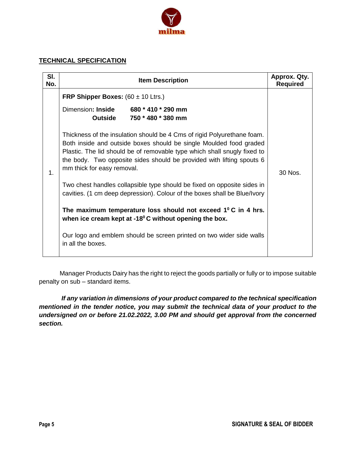

#### **TECHNICAL SPECIFICATION**

| SI.<br>No. | <b>Item Description</b>                                                                                                                                                                                                                                                                                                                                                                                                                                                      | Approx. Qty.<br><b>Required</b> |
|------------|------------------------------------------------------------------------------------------------------------------------------------------------------------------------------------------------------------------------------------------------------------------------------------------------------------------------------------------------------------------------------------------------------------------------------------------------------------------------------|---------------------------------|
| 1.         | <b>FRP Shipper Boxes:</b> $(60 \pm 10 \text{ Ltrs.})$<br>Dimension: Inside<br>680 * 410 * 290 mm<br><b>Outside</b><br>750 * 480 * 380 mm<br>Thickness of the insulation should be 4 Cms of rigid Polyurethane foam.<br>Both inside and outside boxes should be single Moulded food graded<br>Plastic. The lid should be of removable type which shall snugly fixed to<br>the body. Two opposite sides should be provided with lifting spouts 6<br>mm thick for easy removal. | 30 Nos.                         |
|            | Two chest handles collapsible type should be fixed on opposite sides in<br>cavities. (1 cm deep depression). Colour of the boxes shall be Blue/Ivory                                                                                                                                                                                                                                                                                                                         |                                 |
|            | The maximum temperature loss should not exceed $1^{\circ}$ C in 4 hrs.<br>when ice cream kept at $-18^{\circ}$ C without opening the box.                                                                                                                                                                                                                                                                                                                                    |                                 |
|            | Our logo and emblem should be screen printed on two wider side walls<br>in all the boxes.                                                                                                                                                                                                                                                                                                                                                                                    |                                 |

Manager Products Dairy has the right to reject the goods partially or fully or to impose suitable penalty on sub – standard items.

*If any variation in dimensions of your product compared to the technical specification mentioned in the tender notice, you may submit the technical data of your product to the undersigned on or before 21.02.2022, 3.00 PM and should get approval from the concerned section.*